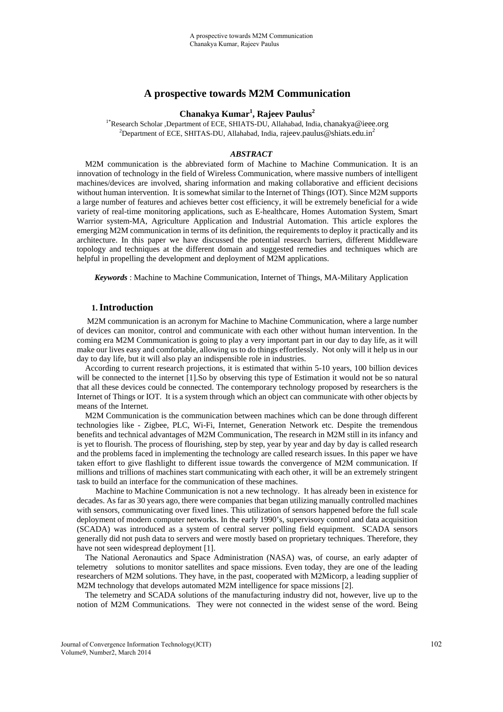# **A prospective towards M2M Communication**

# **Chanakya Kumar<sup>1</sup> , Rajeev Paulus2**

1\*Research Scholar ,Department of ECE, SHIATS-DU, Allahabad, India, chanakya@ieee.org <sup>2</sup>Department of ECE, SHITAS-DU, Allahabad, India, rajeev.paulus@shiats.edu.in<sup>2</sup>

### *ABSTRACT*

M2M communication is the abbreviated form of Machine to Machine Communication. It is an innovation of technology in the field of Wireless Communication, where massive numbers of intelligent machines/devices are involved, sharing information and making collaborative and efficient decisions without human intervention. It is somewhat similar to the Internet of Things (IOT). Since M2M supports a large number of features and achieves better cost efficiency, it will be extremely beneficial for a wide variety of real-time monitoring applications, such as E-healthcare, Homes Automation System, Smart Warrior system-MA, Agriculture Application and Industrial Automation. This article explores the emerging M2M communication in terms of its definition, the requirements to deploy it practically and its architecture. In this paper we have discussed the potential research barriers, different Middleware topology and techniques at the different domain and suggested remedies and techniques which are helpful in propelling the development and deployment of M2M applications.

*Keywords* : Machine to Machine Communication, Internet of Things, MA-Military Application

### **1.Introduction**

 M2M communication is an acronym for Machine to Machine Communication, where a large number of devices can monitor, control and communicate with each other without human intervention. In the coming era M2M Communication is going to play a very important part in our day to day life, as it will make our lives easy and comfortable, allowing us to do things effortlessly. Not only will it help us in our day to day life, but it will also play an indispensible role in industries.

 According to current research projections, it is estimated that within 5-10 years, 100 billion devices will be connected to the internet [1]. So by observing this type of Estimation it would not be so natural that all these devices could be connected. The contemporary technology proposed by researchers is the Internet of Things or IOT. It is a system through which an object can communicate with other objects by means of the Internet.

 M2M Communication is the communication between machines which can be done through different technologies like - Zigbee, PLC, Wi-Fi, Internet, Generation Network etc. Despite the tremendous benefits and technical advantages of M2M Communication, The research in M2M still in its infancy and is yet to flourish. The process of flourishing, step by step, year by year and day by day is called research and the problems faced in implementing the technology are called research issues. In this paper we have taken effort to give flashlight to different issue towards the convergence of M2M communication. If millions and trillions of machines start communicating with each other, it will be an extremely stringent task to build an interface for the communication of these machines.

 Machine to Machine Communication is not a new technology. It has already been in existence for decades. As far as 30 years ago, there were companies that began utilizing manually controlled machines with sensors, communicating over fixed lines. This utilization of sensors happened before the full scale deployment of modern computer networks. In the early 1990's, supervisory control and data acquisition (SCADA) was introduced as a system of central server polling field equipment. SCADA sensors generally did not push data to servers and were mostly based on proprietary techniques. Therefore, they have not seen widespread deployment [1].

 The National Aeronautics and Space Administration (NASA) was, of course, an early adapter of telemetry solutions to monitor satellites and space missions. Even today, they are one of the leading researchers of M2M solutions. They have, in the past, cooperated with M2Micorp, a leading supplier of M2M technology that develops automated M2M intelligence for space missions [2].

 The telemetry and SCADA solutions of the manufacturing industry did not, however, live up to the notion of M2M Communications. They were not connected in the widest sense of the word. Being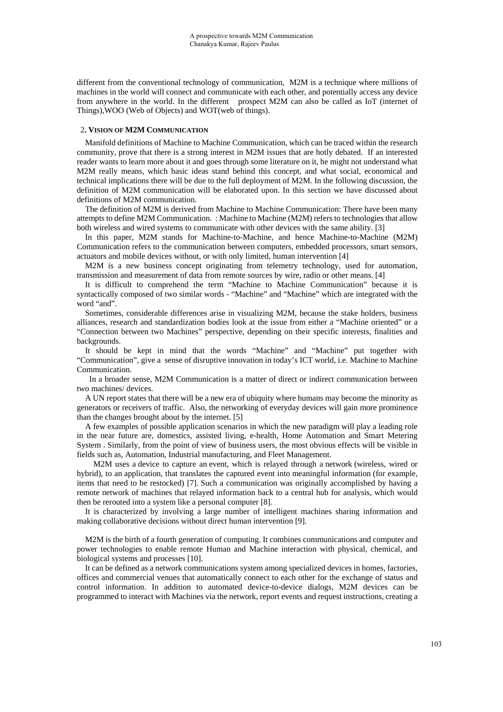different from the conventional technology of communication, M2M is a technique where millions of machines in the world will connect and communicate with each other, and potentially access any device from anywhere in the world. In the different prospect M2M can also be called as IoT (internet of Things),WOO (Web of Objects) and WOT(web of things).

### 2**. VISION OF M2M COMMUNICATION**

Manifold definitions of Machine to Machine Communication, which can be traced within the research community, prove that there is a strong interest in M2M issues that are hotly debated. If an interested reader wants to learn more about it and goes through some literature on it, he might not understand what M2M really means, which basic ideas stand behind this concept, and what social, economical and technical implications there will be due to the full deployment of M2M. In the following discussion, the definition of M2M communication will be elaborated upon. In this section we have discussed about definitions of M2M communication.

The definition of M2M is derived from Machine to Machine Communication: There have been many attempts to define M2M Communication. : Machine to Machine (M2M) refers to technologies that allow both wireless and wired systems to communicate with other devices with the same ability. [3]

In this paper, M2M stands for Machine-to-Machine, and hence Machine-to-Machine (M2M) Communication refers to the communication between computers, embedded processors, smart sensors, actuators and mobile devices without, or with only limited, human intervention [4]

M2M is a new business concept originating from telemetry technology, used for automation, transmission and measurement of data from remote sources by wire, radio or other means. [4]

It is difficult to comprehend the term "Machine to Machine Communication" because it is syntactically composed of two similar words - "Machine" and "Machine" which are integrated with the word "and".

Sometimes, considerable differences arise in visualizing M2M, because the stake holders, business alliances, research and standardization bodies look at the issue from either a "Machine oriented" or a "Connection between two Machines" perspective, depending on their specific interests, finalities and backgrounds.

It should be kept in mind that the words "Machine" and "Machine" put together with "Communication", give a sense of disruptive innovation in today's ICT world, i.e. Machine to Machine Communication.

 In a broader sense, M2M Communication is a matter of direct or indirect communication between two machines/ devices.

A UN report states that there will be a new era of ubiquity where humans may become the minority as generators or receivers of traffic. Also, the networking of everyday devices will gain more prominence than the changes brought about by the internet. [5]

A few examples of possible application scenarios in which the new paradigm will play a leading role in the near future are, domestics, assisted living, e-health, Home Automation and Smart Metering System . Similarly, from the point of view of business users, the most obvious effects will be visible in fields such as, Automation, Industrial manufacturing, and Fleet Management.

 M2M uses a device to capture an event, which is relayed through a network (wireless, wired or hybrid), to an application, that translates the captured event into meaningful information (for example, items that need to be restocked) [7]. Such a communication was originally accomplished by having a remote network of machines that relayed information back to a central hub for analysis, which would then be rerouted into a system like a personal computer [8].

It is characterized by involving a large number of intelligent machines sharing information and making collaborative decisions without direct human intervention [9].

M2M is the birth of a fourth generation of computing. It combines communications and computer and power technologies to enable remote Human and Machine interaction with physical, chemical, and biological systems and processes [10].

It can be defined as a network communications system among specialized devices in homes, factories, offices and commercial venues that automatically connect to each other for the exchange of status and control information. In addition to automated device-to-device dialogs, M2M devices can be programmed to interact with Machines via the network, report events and request instructions, creating a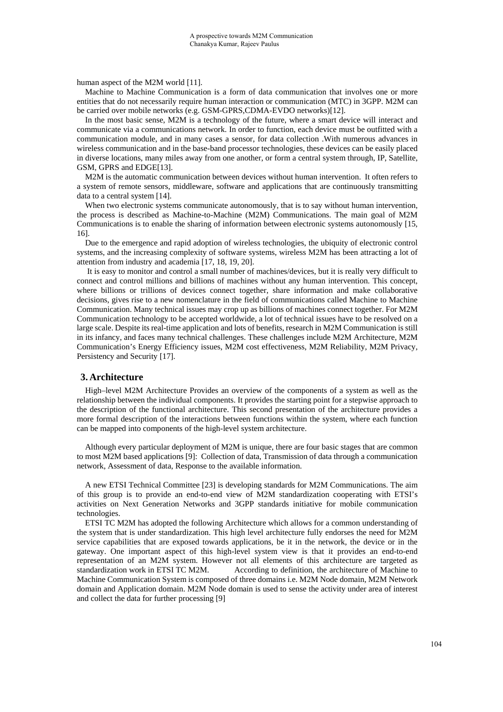human aspect of the M2M world [11].

Machine to Machine Communication is a form of data communication that involves one or more entities that do not necessarily require human interaction or communication (MTC) in 3GPP. M2M can be carried over mobile networks (e.g. GSM-GPRS,CDMA-EVDO networks)[12].

In the most basic sense, M2M is a technology of the future, where a smart device will interact and communicate via a communications network. In order to function, each device must be outfitted with a communication module, and in many cases a sensor, for data collection .With numerous advances in wireless communication and in the base-band processor technologies, these devices can be easily placed in diverse locations, many miles away from one another, or form a central system through, IP, Satellite, GSM, GPRS and EDGE[13].

M2M is the automatic communication between devices without human intervention. It often refers to a system of remote sensors, middleware, software and applications that are continuously transmitting data to a central system [14].

When two electronic systems communicate autonomously, that is to say without human intervention, the process is described as Machine-to-Machine (M2M) Communications. The main goal of M2M Communications is to enable the sharing of information between electronic systems autonomously [15, 16].

Due to the emergence and rapid adoption of wireless technologies, the ubiquity of electronic control systems, and the increasing complexity of software systems, wireless M2M has been attracting a lot of attention from industry and academia [17, 18, 19, 20].

 It is easy to monitor and control a small number of machines/devices, but it is really very difficult to connect and control millions and billions of machines without any human intervention. This concept, where billions or trillions of devices connect together, share information and make collaborative decisions, gives rise to a new nomenclature in the field of communications called Machine to Machine Communication. Many technical issues may crop up as billions of machines connect together. For M2M Communication technology to be accepted worldwide, a lot of technical issues have to be resolved on a large scale. Despite its real-time application and lots of benefits, research in M2M Communication is still in its infancy, and faces many technical challenges. These challenges include M2M Architecture, M2M Communication's Energy Efficiency issues, M2M cost effectiveness, M2M Reliability, M2M Privacy, Persistency and Security [17].

### **3. Architecture**

High–level M2M Architecture Provides an overview of the components of a system as well as the relationship between the individual components. It provides the starting point for a stepwise approach to the description of the functional architecture. This second presentation of the architecture provides a more formal description of the interactions between functions within the system, where each function can be mapped into components of the high-level system architecture.

Although every particular deployment of M2M is unique, there are four basic stages that are common to most M2M based applications [9]: Collection of data, Transmission of data through a communication network, Assessment of data, Response to the available information.

 A new ETSI Technical Committee [23] is developing standards for M2M Communications. The aim of this group is to provide an end-to-end view of M2M standardization cooperating with ETSI's activities on Next Generation Networks and 3GPP standards initiative for mobile communication technologies.

 ETSI TC M2M has adopted the following Architecture which allows for a common understanding of the system that is under standardization. This high level architecture fully endorses the need for M2M service capabilities that are exposed towards applications, be it in the network, the device or in the gateway. One important aspect of this high-level system view is that it provides an end-to-end representation of an M2M system. However not all elements of this architecture are targeted as standardization work in ETSI TC M2M.According to definition, the architecture of Machine to Machine Communication System is composed of three domains i.e. M2M Node domain, M2M Network domain and Application domain. M2M Node domain is used to sense the activity under area of interest and collect the data for further processing [9]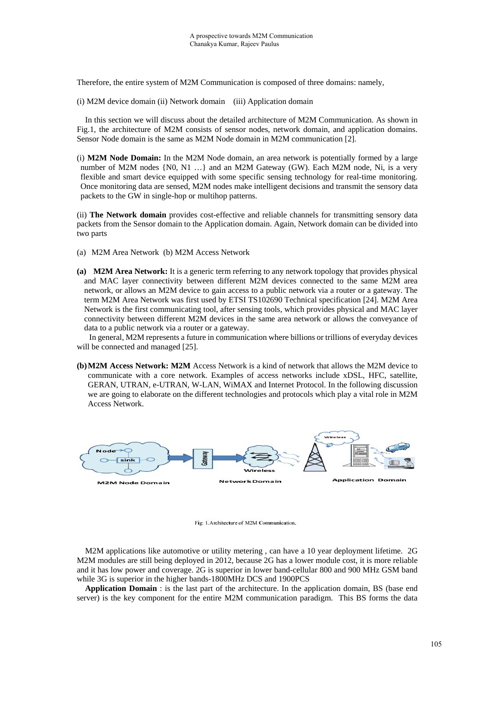Therefore, the entire system of M2M Communication is composed of three domains: namely,

(i) M2M device domain (ii) Network domain (iii) Application domain

In this section we will discuss about the detailed architecture of M2M Communication. As shown in Fig.1, the architecture of M2M consists of sensor nodes, network domain, and application domains. Sensor Node domain is the same as M2M Node domain in M2M communication [2].

(i) **M2M Node Domain:** In the M2M Node domain, an area network is potentially formed by a large number of M2M nodes {N0, N1 ...} and an M2M Gateway (GW). Each M2M node, Ni, is a very flexible and smart device equipped with some specific sensing technology for real-time monitoring. Once monitoring data are sensed, M2M nodes make intelligent decisions and transmit the sensory data packets to the GW in single-hop or multihop patterns.

(ii) **The Network domain** provides cost-effective and reliable channels for transmitting sensory data packets from the Sensor domain to the Application domain. Again, Network domain can be divided into two parts

- (a) M2M Area Network (b) M2M Access Network
- **(a) M2M Area Network:** It is a generic term referring to any network topology that provides physical and MAC layer connectivity between different M2M devices connected to the same M2M area network, or allows an M2M device to gain access to a public network via a router or a gateway. The term M2M Area Network was first used by ETSI TS102690 Technical specification [24]. M2M Area Network is the first communicating tool, after sensing tools, which provides physical and MAC layer connectivity between different M2M devices in the same area network or allows the conveyance of data to a public network via a router or a gateway.

 In general, M2M represents a future in communication where billions or trillions of everyday devices will be connected and managed [25].

**(b)M2M Access Network: M2M** Access Network is a kind of network that allows the M2M device to communicate with a core network. Examples of access networks include xDSL, HFC, satellite, GERAN, UTRAN, e-UTRAN, W-LAN, WiMAX and Internet Protocol. In the following discussion we are going to elaborate on the different technologies and protocols which play a vital role in M2M Access Network.



Fig: 1. Architecture of M2M Communication.

M2M applications like automotive or utility metering , can have a 10 year deployment lifetime. 2G M2M modules are still being deployed in 2012, because 2G has a lower module cost, it is more reliable and it has low power and coverage. 2G is superior in lower band-cellular 800 and 900 MHz GSM band while 3G is superior in the higher bands-1800MHz DCS and 1900PCS

**Application Domain** : is the last part of the architecture. In the application domain, BS (base end server) is the key component for the entire M2M communication paradigm. This BS forms the data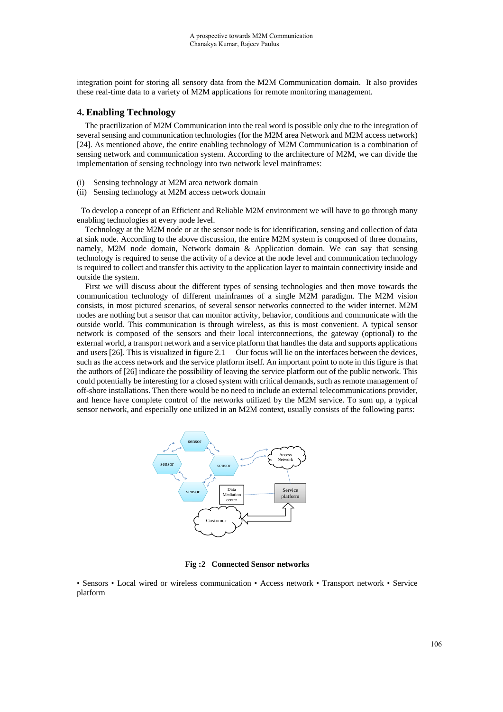integration point for storing all sensory data from the M2M Communication domain. It also provides these real-time data to a variety of M2M applications for remote monitoring management.

## 4**. Enabling Technology**

 The practilization of M2M Communication into the real word is possible only due to the integration of several sensing and communication technologies (for the M2M area Network and M2M access network) [24]. As mentioned above, the entire enabling technology of M2M Communication is a combination of sensing network and communication system. According to the architecture of M2M, we can divide the implementation of sensing technology into two network level mainframes:

- (i) Sensing technology at M2M area network domain
- (ii) Sensing technology at M2M access network domain

 To develop a concept of an Efficient and Reliable M2M environment we will have to go through many enabling technologies at every node level.

Technology at the M2M node or at the sensor node is for identification, sensing and collection of data at sink node. According to the above discussion, the entire M2M system is composed of three domains, namely, M2M node domain, Network domain & Application domain. We can say that sensing technology is required to sense the activity of a device at the node level and communication technology is required to collect and transfer this activity to the application layer to maintain connectivity inside and outside the system.

 First we will discuss about the different types of sensing technologies and then move towards the communication technology of different mainframes of a single M2M paradigm. The M2M vision consists, in most pictured scenarios, of several sensor networks connected to the wider internet. M2M nodes are nothing but a sensor that can monitor activity, behavior, conditions and communicate with the outside world. This communication is through wireless, as this is most convenient. A typical sensor network is composed of the sensors and their local interconnections, the gateway (optional) to the external world, a transport network and a service platform that handles the data and supports applications and users [26]. This is visualized in figure 2.1 Our focus will lie on the interfaces between the devices, such as the access network and the service platform itself. An important point to note in this figure is that the authors of [26] indicate the possibility of leaving the service platform out of the public network. This could potentially be interesting for a closed system with critical demands, such as remote management of off-shore installations. Then there would be no need to include an external telecommunications provider, and hence have complete control of the networks utilized by the M2M service. To sum up, a typical sensor network, and especially one utilized in an M2M context, usually consists of the following parts:



**Fig :2 Connected Sensor networks** 

• Sensors • Local wired or wireless communication • Access network • Transport network • Service platform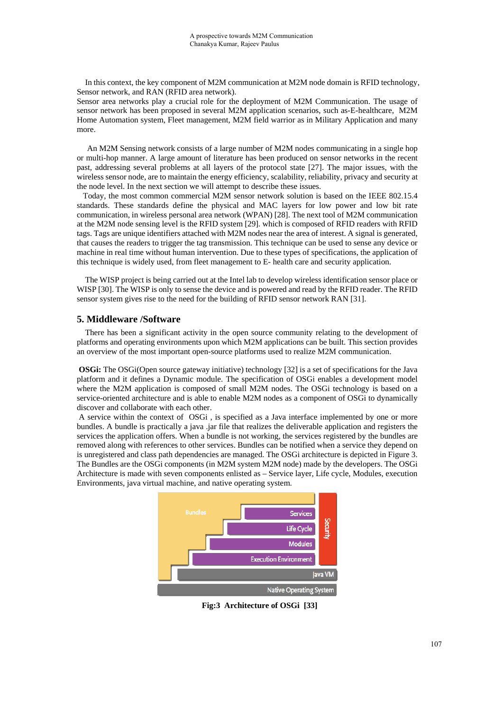In this context, the key component of M2M communication at M2M node domain is RFID technology, Sensor network, and RAN (RFID area network).

Sensor area networks play a crucial role for the deployment of M2M Communication. The usage of sensor network has been proposed in several M2M application scenarios, such as-E-healthcare, M2M Home Automation system, Fleet management, M2M field warrior as in Military Application and many more.

 An M2M Sensing network consists of a large number of M2M nodes communicating in a single hop or multi-hop manner. A large amount of literature has been produced on sensor networks in the recent past, addressing several problems at all layers of the protocol state [27]. The major issues, with the wireless sensor node, are to maintain the energy efficiency, scalability, reliability, privacy and security at the node level. In the next section we will attempt to describe these issues.

 Today, the most common commercial M2M sensor network solution is based on the IEEE 802.15.4 standards. These standards define the physical and MAC layers for low power and low bit rate communication, in wireless personal area network (WPAN) [28]. The next tool of M2M communication at the M2M node sensing level is the RFID system [29]. which is composed of RFID readers with RFID tags. Tags are unique identifiers attached with M2M nodes near the area of interest. A signal is generated, that causes the readers to trigger the tag transmission. This technique can be used to sense any device or machine in real time without human intervention. Due to these types of specifications, the application of this technique is widely used, from fleet management to E- health care and security application.

 The WISP project is being carried out at the Intel lab to develop wireless identification sensor place or WISP [30]. The WISP is only to sense the device and is powered and read by the RFID reader. The RFID sensor system gives rise to the need for the building of RFID sensor network RAN [31].

## **5. Middleware /Software**

There has been a significant activity in the open source community relating to the development of platforms and operating environments upon which M2M applications can be built. This section provides an overview of the most important open-source platforms used to realize M2M communication.

**OSGi:** The OSGi(Open source gateway initiative) technology [32] is a set of specifications for the Java platform and it defines a Dynamic module. The specification of OSGi enables a development model where the M2M application is composed of small M2M nodes. The OSGi technology is based on a service-oriented architecture and is able to enable M2M nodes as a component of OSGi to dynamically discover and collaborate with each other.

 A service within the context of OSGi , is specified as a Java interface implemented by one or more bundles. A bundle is practically a java .jar file that realizes the deliverable application and registers the services the application offers. When a bundle is not working, the services registered by the bundles are removed along with references to other services. Bundles can be notified when a service they depend on is unregistered and class path dependencies are managed. The OSGi architecture is depicted in Figure 3. The Bundles are the OSGi components (in M2M system M2M node) made by the developers. The OSGi Architecture is made with seven components enlisted as – Service layer, Life cycle, Modules, execution Environments, java virtual machine, and native operating system.



**Fig:3 Architecture of OSGi [33]**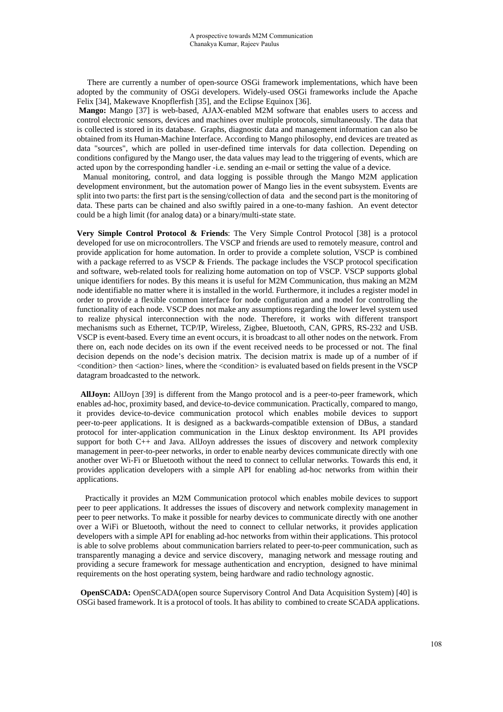There are currently a number of open-source OSGi framework implementations, which have been adopted by the community of OSGi developers. Widely-used OSGi frameworks include the Apache Felix [34], Makewave Knopflerfish [35], and the Eclipse Equinox [36].

**Mango:** Mango [37] is web-based, AJAX-enabled M2M software that enables users to access and control electronic sensors, devices and machines over multiple protocols, simultaneously. The data that is collected is stored in its database. Graphs, diagnostic data and management information can also be obtained from its Human-Machine Interface. According to Mango philosophy, end devices are treated as data "sources", which are polled in user-defined time intervals for data collection. Depending on conditions configured by the Mango user, the data values may lead to the triggering of events, which are acted upon by the corresponding handler -i.e. sending an e-mail or setting the value of a device.

 Manual monitoring, control, and data logging is possible through the Mango M2M application development environment, but the automation power of Mango lies in the event subsystem. Events are split into two parts: the first part is the sensing/collection of data and the second part is the monitoring of data. These parts can be chained and also swiftly paired in a one-to-many fashion. An event detector could be a high limit (for analog data) or a binary/multi-state state.

**Very Simple Control Protocol & Friends**: The Very Simple Control Protocol [38] is a protocol developed for use on microcontrollers. The VSCP and friends are used to remotely measure, control and provide application for home automation. In order to provide a complete solution, VSCP is combined with a package referred to as VSCP & Friends. The package includes the VSCP protocol specification and software, web-related tools for realizing home automation on top of VSCP. VSCP supports global unique identifiers for nodes. By this means it is useful for M2M Communication, thus making an M2M node identifiable no matter where it is installed in the world. Furthermore, it includes a register model in order to provide a flexible common interface for node configuration and a model for controlling the functionality of each node. VSCP does not make any assumptions regarding the lower level system used to realize physical interconnection with the node. Therefore, it works with different transport mechanisms such as Ethernet, TCP/IP, Wireless, Zigbee, Bluetooth, CAN, GPRS, RS-232 and USB. VSCP is event-based. Every time an event occurs, it is broadcast to all other nodes on the network. From there on, each node decides on its own if the event received needs to be processed or not. The final decision depends on the node's decision matrix. The decision matrix is made up of a number of if <condition> then <action> lines, where the <condition> is evaluated based on fields present in the VSCP datagram broadcasted to the network.

**AllJoyn:** AllJoyn [39] is different from the Mango protocol and is a peer-to-peer framework, which enables ad-hoc, proximity based, and device-to-device communication. Practically, compared to mango, it provides device-to-device communication protocol which enables mobile devices to support peer-to-peer applications. It is designed as a backwards-compatible extension of DBus, a standard protocol for inter-application communication in the Linux desktop environment. Its API provides support for both  $C_{++}$  and Java. AllJoyn addresses the issues of discovery and network complexity management in peer-to-peer networks, in order to enable nearby devices communicate directly with one another over Wi-Fi or Bluetooth without the need to connect to cellular networks. Towards this end, it provides application developers with a simple API for enabling ad-hoc networks from within their applications.

Practically it provides an M2M Communication protocol which enables mobile devices to support peer to peer applications. It addresses the issues of discovery and network complexity management in peer to peer networks. To make it possible for nearby devices to communicate directly with one another over a WiFi or Bluetooth, without the need to connect to cellular networks, it provides application developers with a simple API for enabling ad-hoc networks from within their applications. This protocol is able to solve problems about communication barriers related to peer-to-peer communication, such as transparently managing a device and service discovery, managing network and message routing and providing a secure framework for message authentication and encryption, designed to have minimal requirements on the host operating system, being hardware and radio technology agnostic.

**OpenSCADA:** OpenSCADA(open source Supervisory Control And Data Acquisition System) [40] is OSGi based framework. It is a protocol of tools. It has ability to combined to create SCADA applications.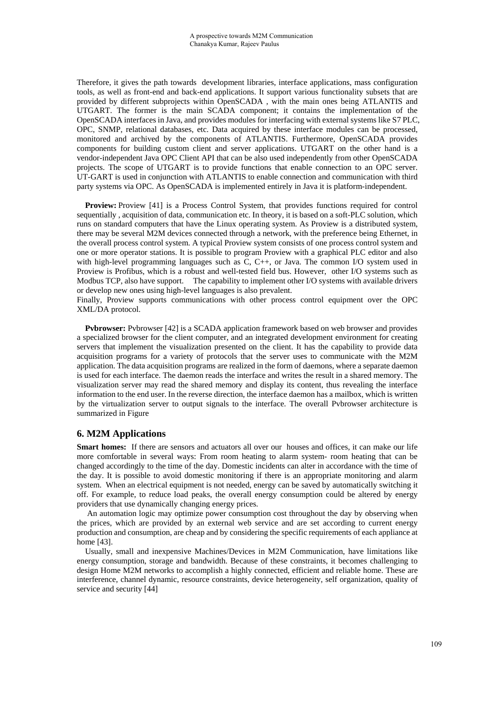Therefore, it gives the path towards development libraries, interface applications, mass configuration tools, as well as front-end and back-end applications. It support various functionality subsets that are provided by different subprojects within OpenSCADA , with the main ones being ATLANTIS and UTGART. The former is the main SCADA component; it contains the implementation of the OpenSCADA interfaces in Java, and provides modules for interfacing with external systems like S7 PLC, OPC, SNMP, relational databases, etc. Data acquired by these interface modules can be processed, monitored and archived by the components of ATLANTIS. Furthermore, OpenSCADA provides components for building custom client and server applications. UTGART on the other hand is a vendor-independent Java OPC Client API that can be also used independently from other OpenSCADA projects. The scope of UTGART is to provide functions that enable connection to an OPC server. UT-GART is used in conjunction with ATLANTIS to enable connection and communication with third party systems via OPC. As OpenSCADA is implemented entirely in Java it is platform-independent.

**Proview:** Proview [41] is a Process Control System, that provides functions required for control sequentially , acquisition of data, communication etc. In theory, it is based on a soft-PLC solution, which runs on standard computers that have the Linux operating system. As Proview is a distributed system, there may be several M2M devices connected through a network, with the preference being Ethernet, in the overall process control system. A typical Proview system consists of one process control system and one or more operator stations. It is possible to program Proview with a graphical PLC editor and also with high-level programming languages such as C, C++, or Java. The common I/O system used in Proview is Profibus, which is a robust and well-tested field bus. However, other I/O systems such as Modbus TCP, also have support. The capability to implement other I/O systems with available drivers or develop new ones using high-level languages is also prevalent.

Finally, Proview supports communications with other process control equipment over the OPC XML/DA protocol.

**Pvbrowser:** Pvbrowser [42] is a SCADA application framework based on web browser and provides a specialized browser for the client computer, and an integrated development environment for creating servers that implement the visualization presented on the client. It has the capability to provide data acquisition programs for a variety of protocols that the server uses to communicate with the M2M application. The data acquisition programs are realized in the form of daemons, where a separate daemon is used for each interface. The daemon reads the interface and writes the result in a shared memory. The visualization server may read the shared memory and display its content, thus revealing the interface information to the end user. In the reverse direction, the interface daemon has a mailbox, which is written by the virtualization server to output signals to the interface. The overall Pvbrowser architecture is summarized in Figure

# **6. M2M Applications**

**Smart homes:** If there are sensors and actuators all over our houses and offices, it can make our life more comfortable in several ways: From room heating to alarm system- room heating that can be changed accordingly to the time of the day. Domestic incidents can alter in accordance with the time of the day. It is possible to avoid domestic monitoring if there is an appropriate monitoring and alarm system. When an electrical equipment is not needed, energy can be saved by automatically switching it off. For example, to reduce load peaks, the overall energy consumption could be altered by energy providers that use dynamically changing energy prices.

 An automation logic may optimize power consumption cost throughout the day by observing when the prices, which are provided by an external web service and are set according to current energy production and consumption, are cheap and by considering the specific requirements of each appliance at home [43].

Usually, small and inexpensive Machines/Devices in M2M Communication, have limitations like energy consumption, storage and bandwidth. Because of these constraints, it becomes challenging to design Home M2M networks to accomplish a highly connected, efficient and reliable home. These are interference, channel dynamic, resource constraints, device heterogeneity, self organization, quality of service and security [44]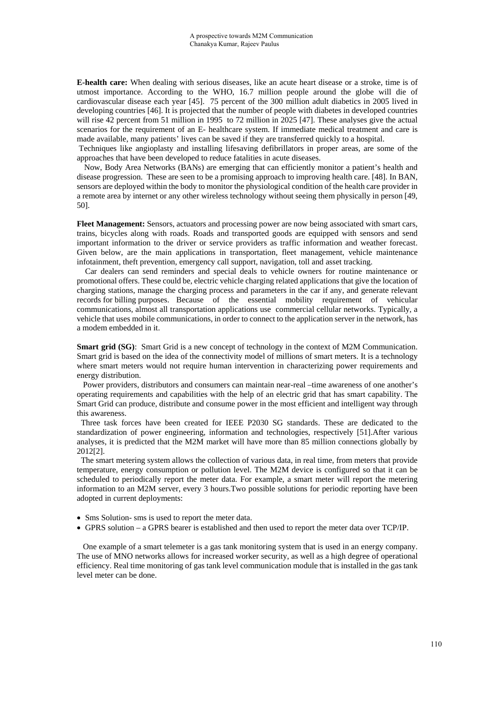**E-health care:** When dealing with serious diseases, like an acute heart disease or a stroke, time is of utmost importance. According to the WHO, 16.7 million people around the globe will die of cardiovascular disease each year [45]. 75 percent of the 300 million adult diabetics in 2005 lived in developing countries [46]. It is projected that the number of people with diabetes in developed countries will rise 42 percent from 51 million in 1995 to 72 million in 2025 [47]. These analyses give the actual scenarios for the requirement of an E- healthcare system. If immediate medical treatment and care is made available, many patients' lives can be saved if they are transferred quickly to a hospital.

 Techniques like angioplasty and installing lifesaving defibrillators in proper areas, are some of the approaches that have been developed to reduce fatalities in acute diseases.

Now, Body Area Networks (BANs) are emerging that can efficiently monitor a patient's health and disease progression. These are seen to be a promising approach to improving health care. [48]. In BAN, sensors are deployed within the body to monitor the physiological condition of the health care provider in a remote area by internet or any other wireless technology without seeing them physically in person [49, 50].

**Fleet Management:** Sensors, actuators and processing power are now being associated with smart cars, trains, bicycles along with roads. Roads and transported goods are equipped with sensors and send important information to the driver or service providers as traffic information and weather forecast. Given below, are the main applications in transportation, fleet management, vehicle maintenance infotainment, theft prevention, emergency call support, navigation, toll and asset tracking.

 Car dealers can send reminders and special deals to vehicle owners for routine maintenance or promotional offers. These could be, electric vehicle charging related applications that give the location of charging stations, manage the charging process and parameters in the car if any, and generate relevant records for billing purposes. Because of the essential mobility requirement of vehicular communications, almost all transportation applications use commercial cellular networks. Typically, a vehicle that uses mobile communications, in order to connect to the application server in the network, has a modem embedded in it.

**Smart grid (SG)**: Smart Grid is a new concept of technology in the context of M2M Communication. Smart grid is based on the idea of the connectivity model of millions of smart meters. It is a technology where smart meters would not require human intervention in characterizing power requirements and energy distribution.

 Power providers, distributors and consumers can maintain near-real –time awareness of one another's operating requirements and capabilities with the help of an electric grid that has smart capability. The Smart Grid can produce, distribute and consume power in the most efficient and intelligent way through this awareness.

 Three task forces have been created for IEEE P2030 SG standards. These are dedicated to the standardization of power engineering, information and technologies, respectively [51].After various analyses, it is predicted that the M2M market will have more than 85 million connections globally by 2012[2].

 The smart metering system allows the collection of various data, in real time, from meters that provide temperature, energy consumption or pollution level. The M2M device is configured so that it can be scheduled to periodically report the meter data. For example, a smart meter will report the metering information to an M2M server, every 3 hours.Two possible solutions for periodic reporting have been adopted in current deployments:

- Sms Solution- sms is used to report the meter data.
- GPRS solution a GPRS bearer is established and then used to report the meter data over TCP/IP.

 One example of a smart telemeter is a gas tank monitoring system that is used in an energy company. The use of MNO networks allows for increased worker security, as well as a high degree of operational efficiency. Real time monitoring of gas tank level communication module that is installed in the gas tank level meter can be done.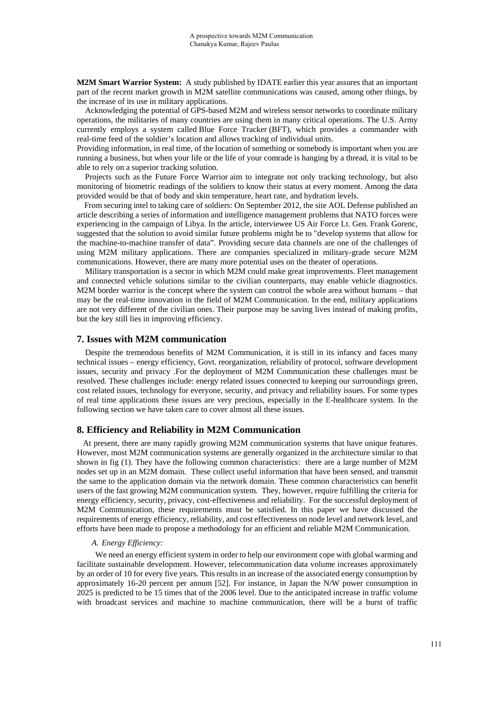**M2M Smart Warrior System:** A study published by IDATE earlier this year assures that an important part of the recent market growth in M2M satellite communications was caused, among other things, by the increase of its use in military applications.

 Acknowledging the potential of GPS-based M2M and wireless sensor networks to coordinate military operations, the militaries of many countries are using them in many critical operations. The U.S. Army currently employs a system called Blue Force Tracker (BFT), which provides a commander with real-time feed of the soldier's location and allows tracking of individual units.

Providing information, in real time, of the location of something or somebody is important when you are running a business, but when your life or the life of your comrade is hanging by a thread, it is vital to be able to rely on a superior tracking solution.

 Projects such as the Future Force Warrior aim to integrate not only tracking technology, but also monitoring of biometric readings of the soldiers to know their status at every moment. Among the data provided would be that of body and skin temperature, heart rate, and hydration levels.

 From securing intel to taking care of soldiers: On September 2012, the site AOL Defense published an article describing a series of information and intelligence management problems that NATO forces were experiencing in the campaign of Libya. In the article, interviewee US Air Force Lt. Gen. Frank Gorenc, suggested that the solution to avoid similar future problems might be to "develop systems that allow for the machine-to-machine transfer of data". Providing secure data channels are one of the challenges of using M2M military applications. There are companies specialized in military-grade secure M2M communications. However, there are many more potential uses on the theater of operations.

Military transportation is a sector in which M2M could make great improvements. Fleet management and connected vehicle solutions similar to the civilian counterparts, may enable vehicle diagnostics. M2M border warrior is the concept where the system can control the whole area without humans – that may be the real-time innovation in the field of M2M Communication. In the end, military applications are not very different of the civilian ones. Their purpose may be saving lives instead of making profits, but the key still lies in improving efficiency.

### **7. Issues with M2M communication**

 Despite the tremendous benefits of M2M Communication, it is still in its infancy and faces many technical issues – energy efficiency, Govt. reorganization, reliability of protocol, software development issues, security and privacy .For the deployment of M2M Communication these challenges must be resolved. These challenges include: energy related issues connected to keeping our surroundings green, cost related issues, technology for everyone, security, and privacy and reliability issues. For some types of real time applications these issues are very precious, especially in the E-healthcare system. In the following section we have taken care to cover almost all these issues.

## **8. Efficiency and Reliability in M2M Communication**

 At present, there are many rapidly growing M2M communication systems that have unique features. However, most M2M communication systems are generally organized in the architecture similar to that shown in fig (1). They have the following common characteristics: there are a large number of M2M nodes set up in an M2M domain. These collect useful information that have been sensed, and transmit the same to the application domain via the network domain. These common characteristics can benefit users of the fast growing M2M communication system. They, however, require fulfilling the criteria for energy efficiency, security, privacy, cost-effectiveness and reliability. For the successful deployment of M2M Communication, these requirements must be satisfied. In this paper we have discussed the requirements of energy efficiency, reliability, and cost effectiveness on node level and network level, and efforts have been made to propose a methodology for an efficient and reliable M2M Communication.

### *A. Energy Efficiency:*

We need an energy efficient system in order to help our environment cope with global warming and facilitate sustainable development. However, telecommunication data volume increases approximately by an order of 10 for every five years. This results in an increase of the associated energy consumption by approximately 16-20 percent per annum [52]. For instance, in Japan the N/W power consumption in 2025 is predicted to be 15 times that of the 2006 level. Due to the anticipated increase in traffic volume with broadcast services and machine to machine communication, there will be a burst of traffic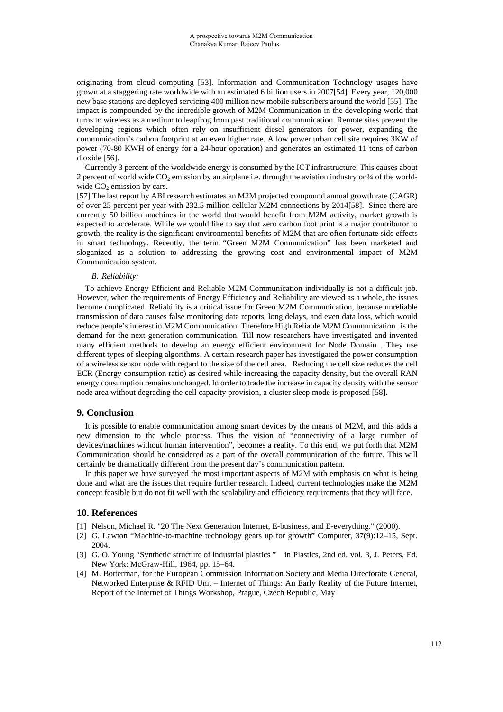originating from cloud computing [53]. Information and Communication Technology usages have grown at a staggering rate worldwide with an estimated 6 billion users in 2007[54]. Every year, 120,000 new base stations are deployed servicing 400 million new mobile subscribers around the world [55]. The impact is compounded by the incredible growth of M2M Communication in the developing world that turns to wireless as a medium to leapfrog from past traditional communication. Remote sites prevent the developing regions which often rely on insufficient diesel generators for power, expanding the communication's carbon footprint at an even higher rate. A low power urban cell site requires 3KW of power (70-80 KWH of energy for a 24-hour operation) and generates an estimated 11 tons of carbon dioxide [56].

 Currently 3 percent of the worldwide energy is consumed by the ICT infrastructure. This causes about 2 percent of world wide  $CO_2$  emission by an airplane i.e. through the aviation industry or  $\frac{1}{4}$  of the worldwide  $CO<sub>2</sub>$  emission by cars.

[57] The last report by ABI research estimates an M2M projected compound annual growth rate (CAGR) of over 25 percent per year with 232.5 million cellular M2M connections by 2014[58]. Since there are currently 50 billion machines in the world that would benefit from M2M activity, market growth is expected to accelerate. While we would like to say that zero carbon foot print is a major contributor to growth, the reality is the significant environmental benefits of M2M that are often fortunate side effects in smart technology. Recently, the term "Green M2M Communication" has been marketed and sloganized as a solution to addressing the growing cost and environmental impact of M2M Communication system.

### *B. Reliability:*

 To achieve Energy Efficient and Reliable M2M Communication individually is not a difficult job. However, when the requirements of Energy Efficiency and Reliability are viewed as a whole, the issues become complicated. Reliability is a critical issue for Green M2M Communication, because unreliable transmission of data causes false monitoring data reports, long delays, and even data loss, which would reduce people's interest in M2M Communication. Therefore High Reliable M2M Communication is the demand for the next generation communication. Till now researchers have investigated and invented many efficient methods to develop an energy efficient environment for Node Domain . They use different types of sleeping algorithms. A certain research paper has investigated the power consumption of a wireless sensor node with regard to the size of the cell area. Reducing the cell size reduces the cell ECR (Energy consumption ratio) as desired while increasing the capacity density, but the overall RAN energy consumption remains unchanged. In order to trade the increase in capacity density with the sensor node area without degrading the cell capacity provision, a cluster sleep mode is proposed [58].

### **9. Conclusion**

It is possible to enable communication among smart devices by the means of M2M, and this adds a new dimension to the whole process. Thus the vision of "connectivity of a large number of devices/machines without human intervention", becomes a reality. To this end, we put forth that M2M Communication should be considered as a part of the overall communication of the future. This will certainly be dramatically different from the present day's communication pattern.

In this paper we have surveyed the most important aspects of M2M with emphasis on what is being done and what are the issues that require further research. Indeed, current technologies make the M2M concept feasible but do not fit well with the scalability and efficiency requirements that they will face.

## **10. References**

- [1] Nelson, Michael R. "20 The Next Generation Internet, E-business, and E-everything." (2000).
- [2] G. Lawton "Machine-to-machine technology gears up for growth" Computer, 37(9):12–15, Sept. 2004.
- [3] G. O. Young "Synthetic structure of industrial plastics " in Plastics, 2nd ed. vol. 3, J. Peters, Ed. New York: McGraw-Hill, 1964, pp. 15–64.
- [4] M. Botterman, for the European Commission Information Society and Media Directorate General, Networked Enterprise & RFID Unit – Internet of Things: An Early Reality of the Future Internet, Report of the Internet of Things Workshop, Prague, Czech Republic, May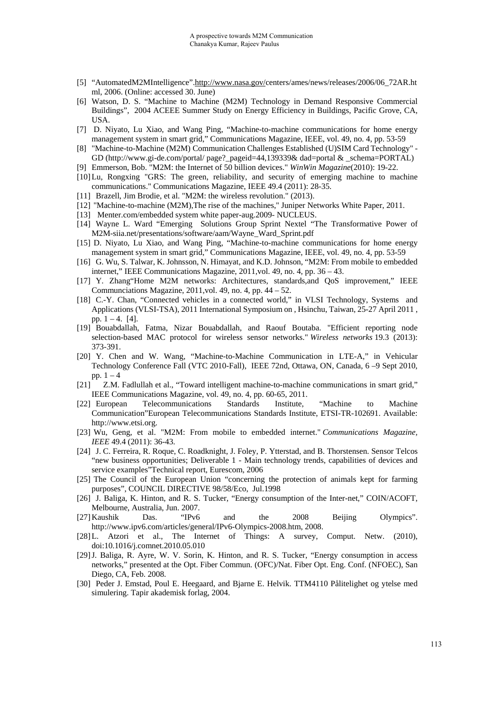- [5] "AutomatedM2MIntelligence".http://www.nasa.gov/centers/ames/news/releases/2006/06\_72AR.ht ml, 2006. (Online: accessed 30. June)
- [6] Watson, D. S. "Machine to Machine (M2M) Technology in Demand Responsive Commercial Buildings", 2004 ACEEE Summer Study on Energy Efficiency in Buildings, Pacific Grove, CA, USA.
- [7] D. Niyato, Lu Xiao, and Wang Ping, "Machine-to-machine communications for home energy management system in smart grid," Communications Magazine, IEEE, vol. 49, no. 4, pp. 53-59
- [8] "Machine-to-Machine (M2M) Communication Challenges Established (U)SIM Card Technology" GD (http://www.gi-de.com/portal/ page? pageid=44,139339& dad=portal & schema=PORTAL)
- [9] Emmerson, Bob. "M2M: the Internet of 50 billion devices." *WinWin Magazine*(2010): 19-22.
- [10]Lu, Rongxing "GRS: The green, reliability, and security of emerging machine to machine communications." Communications Magazine, IEEE 49.4 (2011): 28-35.
- [11] Brazell, Jim Brodie, et al. "M2M: the wireless revolution." (2013).
- [12] ''Machine-to-machine (M2M),The rise of the machines,'' Juniper Networks White Paper, 2011.
- [13] Menter.com/embedded system white paper-aug.2009- NUCLEUS.
- [14] Wayne L. Ward "Emerging Solutions Group Sprint Nextel "The Transformative Power of M2M-siia.net/presentations/software/aam/Wayne\_Ward\_Sprint.pdf
- [15] D. Niyato, Lu Xiao, and Wang Ping, "Machine-to-machine communications for home energy management system in smart grid," Communications Magazine, IEEE, vol. 49, no. 4, pp. 53-59
- [16] G. Wu, S. Talwar, K. Johnsson, N. Himayat, and K.D. Johnson, "M2M: From mobile to embedded internet," IEEE Communications Magazine, 2011,vol. 49, no. 4, pp. 36 – 43.
- [17] Y. Zhang"Home M2M networks: Architectures, standards,and QoS improvement," IEEE Communciations Magazine, 2011,vol. 49, no. 4, pp. 44 – 52.
- [18] C.-Y. Chan, "Connected vehicles in a connected world," in VLSI Technology, Systems and Applications (VLSI-TSA), 2011 International Symposium on , Hsinchu, Taiwan, 25-27 April 2011 , pp.  $1 - 4$ . [4].
- [19] Bouabdallah, Fatma, Nizar Bouabdallah, and Raouf Boutaba. "Efficient reporting node selection-based MAC protocol for wireless sensor networks." *Wireless networks* 19.3 (2013): 373-391.
- [20] Y. Chen and W. Wang, "Machine-to-Machine Communication in LTE-A," in Vehicular Technology Conference Fall (VTC 2010-Fall), IEEE 72nd, Ottawa, ON, Canada, 6 –9 Sept 2010, pp.  $1 - 4$
- [21] Z.M. Fadlullah et al., "Toward intelligent machine-to-machine communications in smart grid," IEEE Communications Magazine, vol. 49, no. 4, pp. 60-65, 2011.
- [22] European Telecommunications Standards Institute, "Machine to Machine Communication"European Telecommunications Standards Institute, ETSI-TR-102691. Available: http://www.etsi.org.
- [23] Wu, Geng, et al. "M2M: From mobile to embedded internet." *Communications Magazine, IEEE* 49.4 (2011): 36-43.
- [24] J. C. Ferreira, R. Roque, C. Roadknight, J. Foley, P. Ytterstad, and B. Thorstensen. Sensor Telcos "new business opportunities; Deliverable 1 - Main technology trends, capabilities of devices and service examples"Technical report, Eurescom, 2006
- [25] The Council of the European Union "concerning the protection of animals kept for farming purposes", COUNCIL DIRECTIVE 98/58/Eco, Jul.1998
- [26] J. Baliga, K. Hinton, and R. S. Tucker, "Energy consumption of the Inter-net," COIN/ACOFT, Melbourne, Australia, Jun. 2007.
- [27]Kaushik Das. "IPv6 and the 2008 Beijing Olympics". http://www.ipv6.com/articles/general/IPv6-Olympics-2008.htm, 2008.
- [28]L. Atzori et al., The Internet of Things: A survey, Comput. Netw. (2010), doi:10.1016/j.comnet.2010.05.010
- [29]J. Baliga, R. Ayre, W. V. Sorin, K. Hinton, and R. S. Tucker, "Energy consumption in access networks," presented at the Opt. Fiber Commun. (OFC)/Nat. Fiber Opt. Eng. Conf. (NFOEC), San Diego, CA, Feb. 2008.
- [30] Peder J. Emstad, Poul E. Heegaard, and Bjarne E. Helvik. TTM4110 Pålitelighet og ytelse med simulering. Tapir akademisk forlag, 2004.